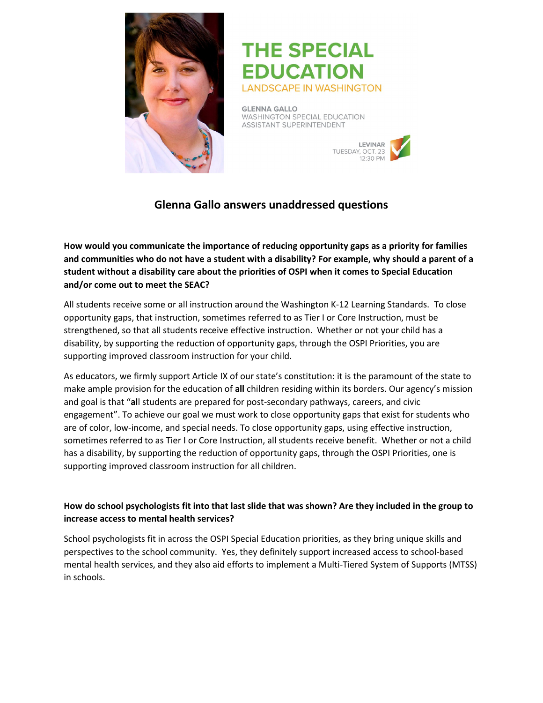

# **THE SPECIAL EDUCATION LANDSCAPE IN WASHINGTON**

**GLENNA GALLO** WASHINGTON SPECIAL EDUCATION **ASSISTANT SUPERINTENDENT** 



# **Glenna Gallo answers unaddressed questions**

**How would you communicate the importance of reducing opportunity gaps as a priority for families and communities who do not have a student with a disability? For example, why should a parent of a student without a disability care about the priorities of OSPI when it comes to Special Education and/or come out to meet the SEAC?**

All students receive some or all instruction around the Washington K-12 Learning Standards. To close opportunity gaps, that instruction, sometimes referred to as Tier I or Core Instruction, must be strengthened, so that all students receive effective instruction. Whether or not your child has a disability, by supporting the reduction of opportunity gaps, through the OSPI Priorities, you are supporting improved classroom instruction for your child.

As educators, we firmly support Article IX of our state's constitution: it is the paramount of the state to make ample provision for the education of **all** children residing within its borders. Our agency's mission and goal is that "**al**l students are prepared for post-secondary pathways, careers, and civic engagement". To achieve our goal we must work to close opportunity gaps that exist for students who are of color, low-income, and special needs. To close opportunity gaps, using effective instruction, sometimes referred to as Tier I or Core Instruction, all students receive benefit. Whether or not a child has a disability, by supporting the reduction of opportunity gaps, through the OSPI Priorities, one is supporting improved classroom instruction for all children.

# **How do school psychologists fit into that last slide that was shown? Are they included in the group to increase access to mental health services?**

School psychologists fit in across the OSPI Special Education priorities, as they bring unique skills and perspectives to the school community. Yes, they definitely support increased access to school-based mental health services, and they also aid efforts to implement a Multi-Tiered System of Supports (MTSS) in schools.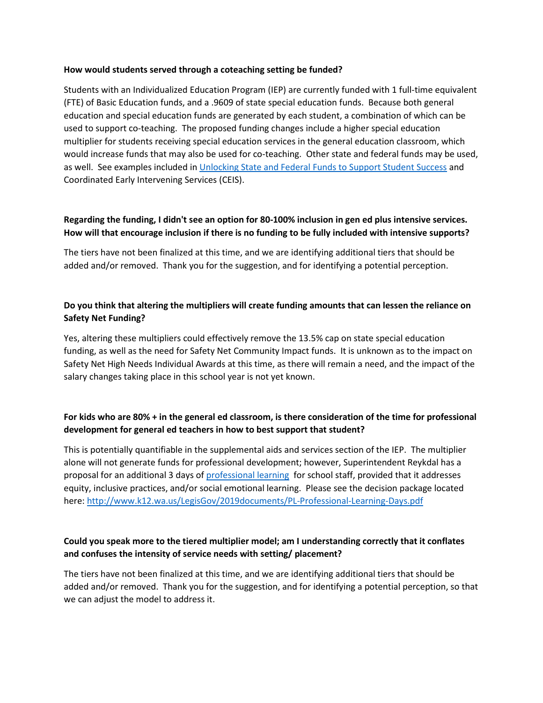#### **How would students served through a coteaching setting be funded?**

Students with an Individualized Education Program (IEP) are currently funded with 1 full-time equivalent (FTE) of Basic Education funds, and a .9609 of state special education funds. Because both general education and special education funds are generated by each student, a combination of which can be used to support co-teaching. The proposed funding changes include a higher special education multiplier for students receiving special education services in the general education classroom, which would increase funds that may also be used for co-teaching. Other state and federal funds may be used, as well. See examples included in [Unlocking State and Federal Funds to Support Student Success](http://www.k12.wa.us/ESEA/pubdocs/UnlockingStateFederalProgramFunds.pdf) and Coordinated Early Intervening Services (CEIS).

#### **Regarding the funding, I didn't see an option for 80-100% inclusion in gen ed plus intensive services. How will that encourage inclusion if there is no funding to be fully included with intensive supports?**

The tiers have not been finalized at this time, and we are identifying additional tiers that should be added and/or removed. Thank you for the suggestion, and for identifying a potential perception.

## **Do you think that altering the multipliers will create funding amounts that can lessen the reliance on Safety Net Funding?**

Yes, altering these multipliers could effectively remove the 13.5% cap on state special education funding, as well as the need for Safety Net Community Impact funds. It is unknown as to the impact on Safety Net High Needs Individual Awards at this time, as there will remain a need, and the impact of the salary changes taking place in this school year is not yet known.

## **For kids who are 80% + in the general ed classroom, is there consideration of the time for professional development for general ed teachers in how to best support that student?**

This is potentially quantifiable in the supplemental aids and services section of the IEP. The multiplier alone will not generate funds for professional development; however, Superintendent Reykdal has a proposal for an additional 3 days o[f professional learning](http://www.k12.wa.us/LegisGov/2019documents/PL-Professional-Learning-Days.pdf) for school staff, provided that it addresses equity, inclusive practices, and/or social emotional learning. Please see the decision package located here:<http://www.k12.wa.us/LegisGov/2019documents/PL-Professional-Learning-Days.pdf>

#### **Could you speak more to the tiered multiplier model; am I understanding correctly that it conflates and confuses the intensity of service needs with setting/ placement?**

The tiers have not been finalized at this time, and we are identifying additional tiers that should be added and/or removed. Thank you for the suggestion, and for identifying a potential perception, so that we can adjust the model to address it.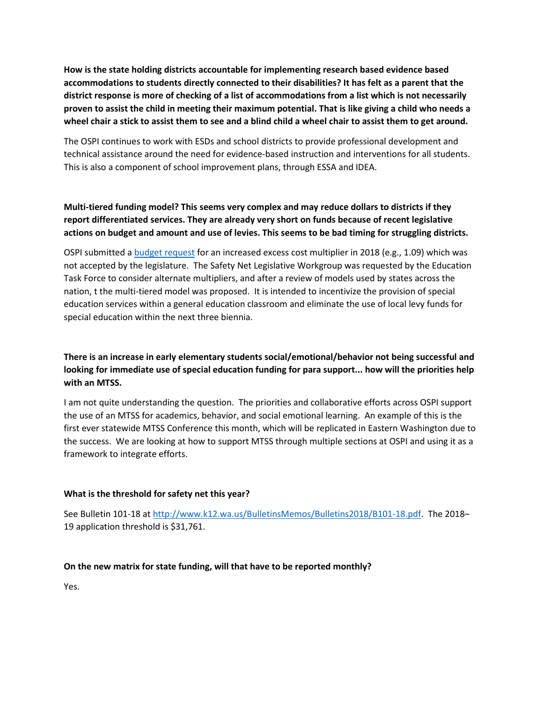**How is the state holding districts accountable for implementing research based evidence based accommodations to students directly connected to their disabilities? It has felt as a parent that the district response is more of checking of a list of accommodations from a list which is not necessarily proven to assist the child in meeting their maximum potential. That is like giving a child who needs a wheel chair a stick to assist them to see and a blind child a wheel chair to assist them to get around.**

The OSPI continues to work with ESDs and school districts to provide professional development and technical assistance around the need for evidence-based instruction and interventions for all students. This is also a component of school improvement plans, through ESSA and IDEA.

# **Multi-tiered funding model? This seems very complex and may reduce dollars to districts if they report differentiated services. They are already very short on funds because of recent legislative actions on budget and amount and use of levies. This seems to be bad timing for struggling districts.**

OSPI submitted a [budget request](http://www.k12.wa.us/LegisGov/2019documents/PL-Professional-Learning-Days.pdf) for an increased excess cost multiplier in 2018 (e.g., 1.09) which was not accepted by the legislature. The Safety Net Legislative Workgroup was requested by the Education Task Force to consider alternate multipliers, and after a review of models used by states across the nation, t the multi-tiered model was proposed. It is intended to incentivize the provision of special education services within a general education classroom and eliminate the use of local levy funds for special education within the next three biennia.

# **There is an increase in early elementary students social/emotional/behavior not being successful and looking for immediate use of special education funding for para support... how will the priorities help with an MTSS.**

I am not quite understanding the question. The priorities and collaborative efforts across OSPI support the use of an MTSS for academics, behavior, and social emotional learning. An example of this is the first ever statewide MTSS Conference this month, which will be replicated in Eastern Washington due to the success. We are looking at how to support MTSS through multiple sections at OSPI and using it as a framework to integrate efforts.

#### **What is the threshold for safety net this year?**

See Bulletin 101-18 at [http://www.k12.wa.us/BulletinsMemos/Bulletins2018/B101-18.pdf.](http://www.k12.wa.us/BulletinsMemos/Bulletins2018/B101-18.pdf) The 2018– 19 application threshold is \$31,761.

#### **On the new matrix for state funding, will that have to be reported monthly?**

Yes.